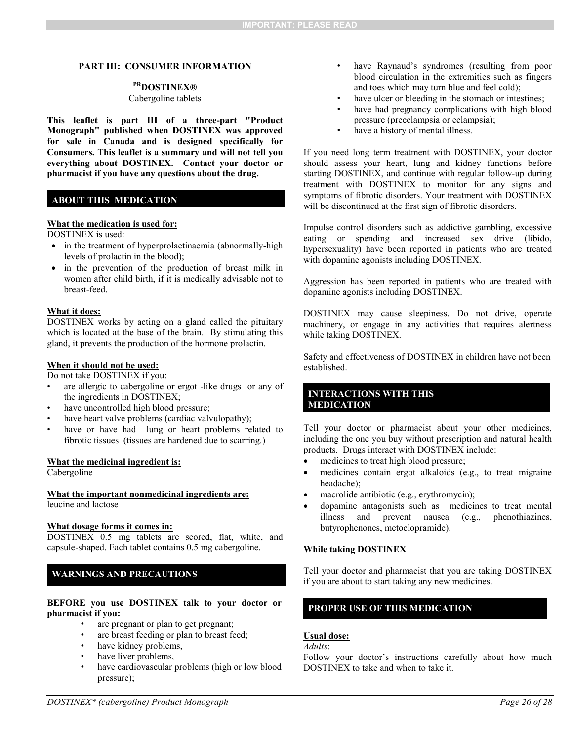#### **PART III: CONSUMER INFORMATION**

# **PRDOSTINEX®**

## Cabergoline tablets

**This leaflet is part III of a three-part "Product Monograph" published when DOSTINEX was approved for sale in Canada and is designed specifically for Consumers. This leaflet is a summary and will not tell you everything about DOSTINEX. Contact your doctor or pharmacist if you have any questions about the drug.** 

## **ABOUT THIS MEDICATION**

#### **What the medication is used for:**

DOSTINEX is used:

- in the treatment of hyperprolactinaemia (abnormally-high levels of prolactin in the blood);
- in the prevention of the production of breast milk in women after child birth, if it is medically advisable not to breast-feed.

#### **What it does:**

DOSTINEX works by acting on a gland called the pituitary which is located at the base of the brain. By stimulating this gland, it prevents the production of the hormone prolactin.

#### **When it should not be used:**

Do not take DOSTINEX if you:

- are allergic to cabergoline or ergot -like drugs or any of the ingredients in DOSTINEX;
- have uncontrolled high blood pressure;
- have heart valve problems (cardiac valvulopathy);
- have or have had lung or heart problems related to fibrotic tissues (tissues are hardened due to scarring.)

## **What the medicinal ingredient is:**

Cabergoline

#### **What the important nonmedicinal ingredients are:**  leucine and lactose

#### **What dosage forms it comes in:**

DOSTINEX 0.5 mg tablets are scored, flat, white, and capsule-shaped. Each tablet contains 0.5 mg cabergoline.

## **WARNINGS AND PRECAUTIONS**

## **BEFORE you use DOSTINEX talk to your doctor or pharmacist if you:**

- are pregnant or plan to get pregnant;
- are breast feeding or plan to breast feed;
- have kidney problems,
- have liver problems,
- have cardiovascular problems (high or low blood pressure);
- have Raynaud's syndromes (resulting from poor blood circulation in the extremities such as fingers and toes which may turn blue and feel cold);
- have ulcer or bleeding in the stomach or intestines;
- have had pregnancy complications with high blood pressure (preeclampsia or eclampsia);
- have a history of mental illness.

If you need long term treatment with DOSTINEX, your doctor should assess your heart, lung and kidney functions before starting DOSTINEX, and continue with regular follow-up during treatment with DOSTINEX to monitor for any signs and symptoms of fibrotic disorders. Your treatment with DOSTINEX will be discontinued at the first sign of fibrotic disorders.

Impulse control disorders such as addictive gambling, excessive eating or spending and increased sex drive (libido, hypersexuality) have been reported in patients who are treated with dopamine agonists including DOSTINEX.

Aggression has been reported in patients who are treated with dopamine agonists including DOSTINEX.

DOSTINEX may cause sleepiness. Do not drive, operate machinery, or engage in any activities that requires alertness while taking DOSTINEX.

Safety and effectiveness of DOSTINEX in children have not been established.

## **INTERACTIONS WITH THIS MEDICATION**

Tell your doctor or pharmacist about your other medicines, including the one you buy without prescription and natural health products. Drugs interact with DOSTINEX include:

- medicines to treat high blood pressure;
- medicines contain ergot alkaloids (e.g., to treat migraine headache);
- macrolide antibiotic (e.g., erythromycin);
- dopamine antagonists such as medicines to treat mental illness and prevent nausea (e.g., phenothiazines, butyrophenones, metoclopramide).

### **While taking DOSTINEX**

Tell your doctor and pharmacist that you are taking DOSTINEX if you are about to start taking any new medicines.

## **PROPER USE OF THIS MEDICATION**

## **Usual dose:**

*Adults*:

Follow your doctor's instructions carefully about how much DOSTINEX to take and when to take it.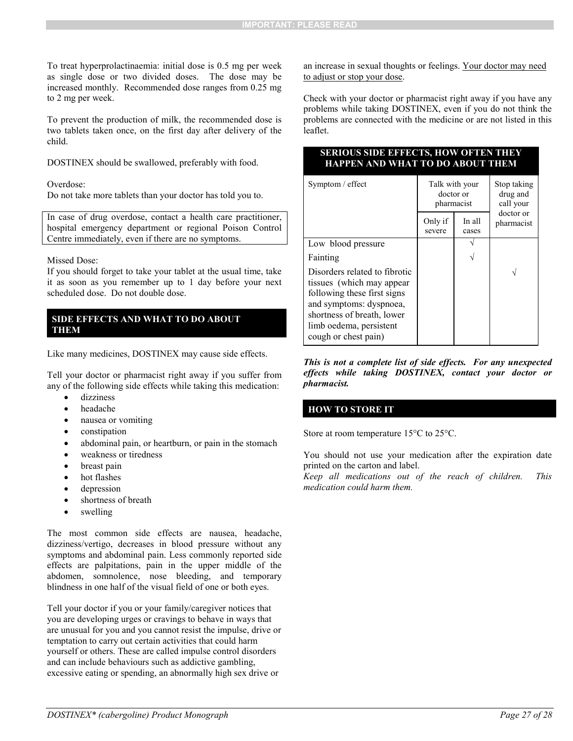To treat hyperprolactinaemia: initial dose is 0.5 mg per week as single dose or two divided doses. The dose may be increased monthly. Recommended dose ranges from 0.25 mg to 2 mg per week.

To prevent the production of milk, the recommended dose is two tablets taken once, on the first day after delivery of the child.

DOSTINEX should be swallowed, preferably with food.

Overdose:

Do not take more tablets than your doctor has told you to.

In case of drug overdose, contact a health care practitioner, hospital emergency department or regional Poison Control Centre immediately, even if there are no symptoms.

#### Missed Dose:

If you should forget to take your tablet at the usual time, take it as soon as you remember up to 1 day before your next scheduled dose. Do not double dose.

## **SIDE EFFECTS AND WHAT TO DO ABOUT THEM**

Like many medicines, DOSTINEX may cause side effects.

Tell your doctor or pharmacist right away if you suffer from any of the following side effects while taking this medication:

- dizziness
- headache
- nausea or vomiting
- constipation
- abdominal pain, or heartburn, or pain in the stomach
- weakness or tiredness
- breast pain
- hot flashes
- depression
- shortness of breath
- swelling

The most common side effects are nausea, headache, dizziness/vertigo, decreases in blood pressure without any symptoms and abdominal pain. Less commonly reported side effects are palpitations, pain in the upper middle of the abdomen, somnolence, nose bleeding, and temporary blindness in one half of the visual field of one or both eyes.

Tell your doctor if you or your family/caregiver notices that you are developing urges or cravings to behave in ways that are unusual for you and you cannot resist the impulse, drive or temptation to carry out certain activities that could harm yourself or others. These are called impulse control disorders and can include behaviours such as addictive gambling, excessive eating or spending, an abnormally high sex drive or

an increase in sexual thoughts or feelings. Your doctor may need to adjust or stop your dose.

Check with your doctor or pharmacist right away if you have any problems while taking DOSTINEX, even if you do not think the problems are connected with the medicine or are not listed in this leaflet.

## **SERIOUS SIDE EFFECTS, HOW OFTEN THEY HAPPEN AND WHAT TO DO ABOUT THEM**

| Symptom / effect                                                                                                                                                                                      | Talk with your<br>doctor or<br>pharmacist |                 | Stop taking<br>drug and<br>call your |
|-------------------------------------------------------------------------------------------------------------------------------------------------------------------------------------------------------|-------------------------------------------|-----------------|--------------------------------------|
|                                                                                                                                                                                                       | Only if<br>severe                         | In all<br>cases | doctor or<br>pharmacist              |
| Low blood pressure                                                                                                                                                                                    |                                           |                 |                                      |
| Fainting                                                                                                                                                                                              |                                           |                 |                                      |
| Disorders related to fibrotic<br>tissues (which may appear<br>following these first signs<br>and symptoms: dyspnoea,<br>shortness of breath, lower<br>limb oedema, persistent<br>cough or chest pain) |                                           |                 |                                      |

*This is not a complete list of side effects. For any unexpected effects while taking DOSTINEX, contact your doctor or pharmacist.* 

# **HOW TO STORE IT**

Store at room temperature 15°C to 25°C.

You should not use your medication after the expiration date printed on the carton and label.

*Keep all medications out of the reach of children. This medication could harm them.*